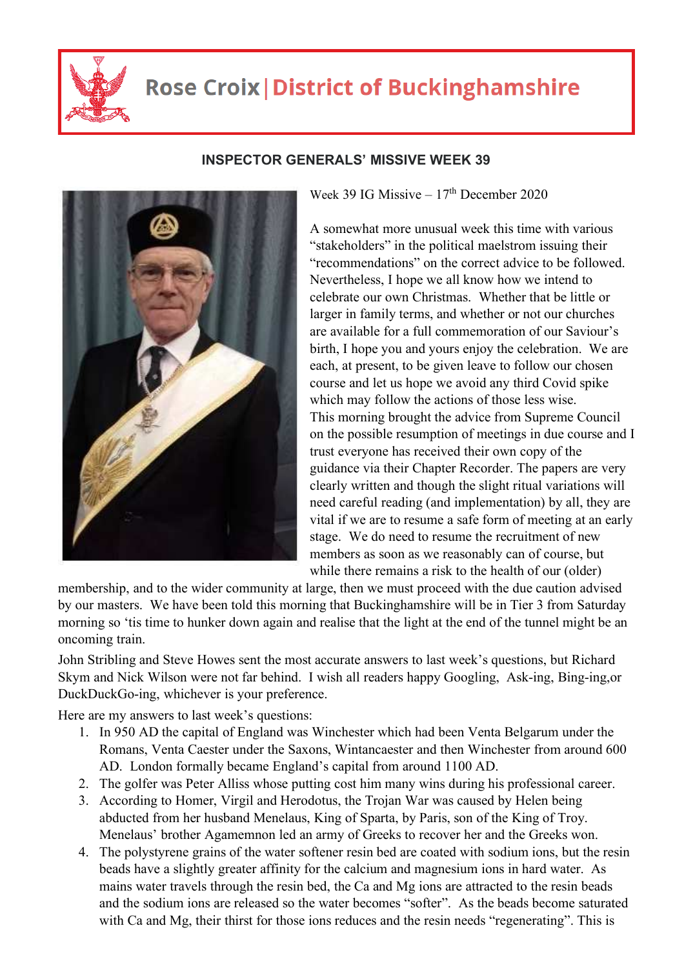

## **Rose Croix | District of Buckinghamshire**



## **INSPECTOR GENERALS' MISSIVE WEEK 39**

Week 39 IG Missive  $-17<sup>th</sup>$  December 2020

A somewhat more unusual week this time with various "stakeholders" in the political maelstrom issuing their "recommendations" on the correct advice to be followed. Nevertheless, I hope we all know how we intend to celebrate our own Christmas. Whether that be little or larger in family terms, and whether or not our churches are available for a full commemoration of our Saviour's birth, I hope you and yours enjoy the celebration. We are each, at present, to be given leave to follow our chosen course and let us hope we avoid any third Covid spike which may follow the actions of those less wise. This morning brought the advice from Supreme Council on the possible resumption of meetings in due course and I trust everyone has received their own copy of the guidance via their Chapter Recorder. The papers are very clearly written and though the slight ritual variations will need careful reading (and implementation) by all, they are vital if we are to resume a safe form of meeting at an early stage. We do need to resume the recruitment of new members as soon as we reasonably can of course, but while there remains a risk to the health of our (older)

membership, and to the wider community at large, then we must proceed with the due caution advised by our masters. We have been told this morning that Buckinghamshire will be in Tier 3 from Saturday morning so 'tis time to hunker down again and realise that the light at the end of the tunnel might be an oncoming train.

John Stribling and Steve Howes sent the most accurate answers to last week's questions, but Richard Skym and Nick Wilson were not far behind. I wish all readers happy Googling, Ask-ing, Bing-ing,or DuckDuckGo-ing, whichever is your preference.

Here are my answers to last week's questions:

- 1. In 950 AD the capital of England was Winchester which had been Venta Belgarum under the Romans, Venta Caester under the Saxons, Wintancaester and then Winchester from around 600 AD. London formally became England's capital from around 1100 AD.
- 2. The golfer was Peter Alliss whose putting cost him many wins during his professional career.
- 3. According to Homer, Virgil and Herodotus, the Trojan War was caused by Helen being abducted from her husband Menelaus, King of Sparta, by Paris, son of the King of Troy. Menelaus' brother Agamemnon led an army of Greeks to recover her and the Greeks won.
- 4. The polystyrene grains of the water softener resin bed are coated with sodium ions, but the resin beads have a slightly greater affinity for the calcium and magnesium ions in hard water. As mains water travels through the resin bed, the Ca and Mg ions are attracted to the resin beads and the sodium ions are released so the water becomes "softer". As the beads become saturated with Ca and Mg, their thirst for those ions reduces and the resin needs "regenerating". This is